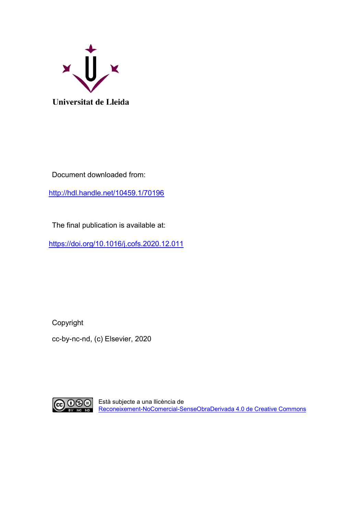

Document downloaded from:

[http://hdl.handle.net/10459.1/70196](https://vpn.udl.cat:10443/proxy/22315182/http/hdl.handle.net/10459.1/70196)

The final publication is available at:

[https://doi.org/10.1016/j.cofs.2020.12.011](https://vpn.udl.cat:10443/proxy/22315182/https/doi.org/10.1016/j.cofs.2020.12.011)

Copyright cc-by-nc-nd, (c) Elsevier, 2020



Està subjecte a una llicència de [Reconeixement-NoComercial-SenseObraDerivada 4.0](http://creativecommons.org/licenses/by-nc-nd/4.0/) de Creative Commons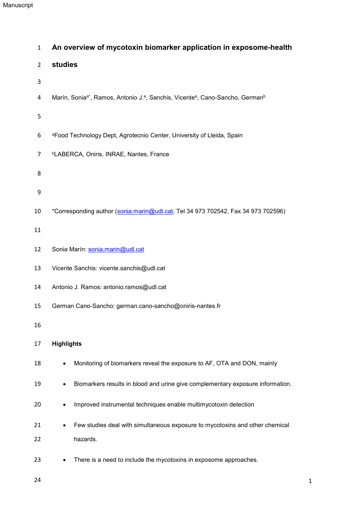| $\mathbf{1}$   | An overview of mycotoxin biomarker application in exposome-health                                                 |
|----------------|-------------------------------------------------------------------------------------------------------------------|
| $\overline{2}$ | studies                                                                                                           |
| 3              |                                                                                                                   |
| 4              | Marín, Sonia <sup>a*</sup> , Ramos, Antonio J.ª, Sanchis, Vicente <sup>a</sup> , Cano-Sancho, German <sup>b</sup> |
| 5              |                                                                                                                   |
| 6              | aFood Technology Dept, Agrotecnio Center, University of Lleida, Spain                                             |
| 7              | <sup>b</sup> LABERCA, Oniris, INRAE, Nantes, France                                                               |
| 8              |                                                                                                                   |
| 9              |                                                                                                                   |
| 10             | *Corresponding author (sonia.marin@udl.cat, Tel 34 973 702542, Fax 34 973 702596)                                 |
| 11             |                                                                                                                   |
| 12             | Sonia Marín: sonia.marin@udl.cat                                                                                  |
| 13             | Vicente Sanchis: vicente.sanchis@udl.cat                                                                          |
| 14             | Antonio J. Ramos: antonio.ramos@udl.cat                                                                           |
| 15             | German Cano-Sancho: german.cano-sancho@oniris-nantes.fr                                                           |
| 16             |                                                                                                                   |
| 17             | <b>Highlights</b>                                                                                                 |
| 18             | Monitoring of biomarkers reveal the exposure to AF, OTA and DON, mainly                                           |
| 19             | Biomarkers results in blood and urine give complementary exposure information.                                    |
| 20             | Improved instrumental techniques enable multimycotoxin detection                                                  |
| 21             | Few studies deal with simultaneous exposure to mycotoxins and other chemical                                      |
| 22             | hazards.                                                                                                          |
| 23             | There is a need to include the mycotoxins in exposome approaches.<br>$\bullet$                                    |

24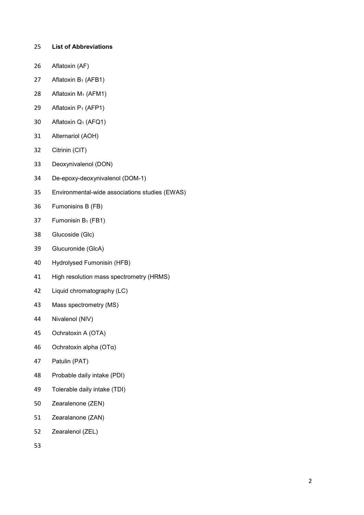- **List of Abbreviations**
- Aflatoxin (AF)
- 27 Aflatoxin  $B_1$  (AFB1)
- 28 Aflatoxin M<sub>1</sub> (AFM1)
- 29 Aflatoxin  $P_1$  (AFP1)
- Aflatoxin Q1 (AFQ1)
- Alternariol (AOH)
- Citrinin (CIT)
- Deoxynivalenol (DON)
- De-epoxy-deoxynivalenol (DOM-1)
- Environmental-wide associations studies (EWAS)
- Fumonisins B (FB)
- 37 Fumonisin  $B_1$  (FB1)
- Glucoside (Glc)
- Glucuronide (GlcA)
- Hydrolysed Fumonisin (HFB)
- High resolution mass spectrometry (HRMS)
- Liquid chromatography (LC)
- Mass spectrometry (MS)
- Nivalenol (NIV)
- Ochratoxin A (OTA)
- Ochratoxin alpha (OTα)
- Patulin (PAT)
- Probable daily intake (PDI)
- Tolerable daily intake (TDI)
- Zearalenone (ZEN)
- Zearalanone (ZAN)
- Zearalenol (ZEL)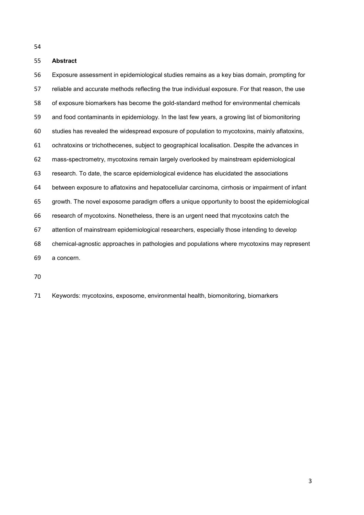# **Abstract**

 Exposure assessment in epidemiological studies remains as a key bias domain, prompting for reliable and accurate methods reflecting the true individual exposure. For that reason, the use of exposure biomarkers has become the gold-standard method for environmental chemicals and food contaminants in epidemiology. In the last few years, a growing list of biomonitoring studies has revealed the widespread exposure of population to mycotoxins, mainly aflatoxins, ochratoxins or trichothecenes, subject to geographical localisation. Despite the advances in mass-spectrometry, mycotoxins remain largely overlooked by mainstream epidemiological research. To date, the scarce epidemiological evidence has elucidated the associations between exposure to aflatoxins and hepatocellular carcinoma, cirrhosis or impairment of infant growth. The novel exposome paradigm offers a unique opportunity to boost the epidemiological research of mycotoxins. Nonetheless, there is an urgent need that mycotoxins catch the attention of mainstream epidemiological researchers, especially those intending to develop chemical-agnostic approaches in pathologies and populations where mycotoxins may represent a concern.

Keywords: mycotoxins, exposome, environmental health, biomonitoring, biomarkers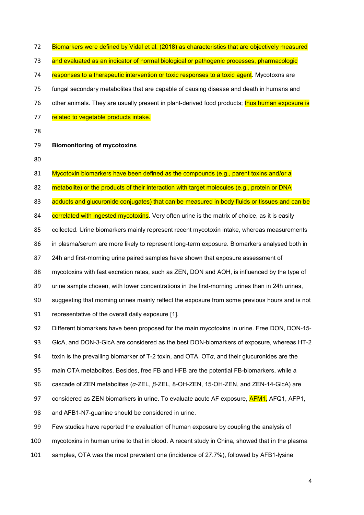| 73  | and evaluated as an indicator of normal biological or pathogenic processes, pharmacologic              |
|-----|--------------------------------------------------------------------------------------------------------|
| 74  | responses to a therapeutic intervention or toxic responses to a toxic agent. Mycotoxns are             |
| 75  | fungal secondary metabolites that are capable of causing disease and death in humans and               |
| 76  | other animals. They are usually present in plant-derived food products; thus human exposure is         |
| 77  | related to vegetable products intake.                                                                  |
| 78  |                                                                                                        |
| 79  | <b>Biomonitoring of mycotoxins</b>                                                                     |
| 80  |                                                                                                        |
| 81  | Mycotoxin biomarkers have been defined as the compounds (e.g., parent toxins and/or a                  |
| 82  | metabolite) or the products of their interaction with target molecules (e.g., protein or DNA           |
| 83  | adducts and glucuronide conjugates) that can be measured in body fluids or tissues and can be          |
| 84  | correlated with ingested mycotoxins. Very often urine is the matrix of choice, as it is easily         |
| 85  | collected. Urine biomarkers mainly represent recent mycotoxin intake, whereas measurements             |
| 86  | in plasma/serum are more likely to represent long-term exposure. Biomarkers analysed both in           |
| 87  | 24h and first-morning urine paired samples have shown that exposure assessment of                      |
| 88  | mycotoxins with fast excretion rates, such as ZEN, DON and AOH, is influenced by the type of           |
| 89  | urine sample chosen, with lower concentrations in the first-morning urines than in 24h urines,         |
| 90  | suggesting that morning urines mainly reflect the exposure from some previous hours and is not         |
| 91  | representative of the overall daily exposure [1].                                                      |
| 92  | Different biomarkers have been proposed for the main mycotoxins in urine. Free DON, DON-15-            |
| 93  | GIcA, and DON-3-GIcA are considered as the best DON-biomarkers of exposure, whereas HT-2               |
| 94  | toxin is the prevailing biomarker of T-2 toxin, and OTA, $\overline{O}$ and their glucuronides are the |
| 95  | main OTA metabolites. Besides, free FB and HFB are the potential FB-biomarkers, while a                |
| 96  | cascade of ZEN metabolites ( $\alpha$ -ZEL, $\beta$ -ZEL, 8-OH-ZEN, 15-OH-ZEN, and ZEN-14-GlcA) are    |
| 97  | considered as ZEN biomarkers in urine. To evaluate acute AF exposure, <b>AFM1</b> , AFQ1, AFP1,        |
| 98  | and AFB1-N7-guanine should be considered in urine.                                                     |
| 99  | Few studies have reported the evaluation of human exposure by coupling the analysis of                 |
| 100 | mycotoxins in human urine to that in blood. A recent study in China, showed that in the plasma         |

72 Biomarkers were defined by Vidal et al. (2018) as characteristics that are objectively measured

samples, OTA was the most prevalent one (incidence of 27.7%), followed by AFB1-lysine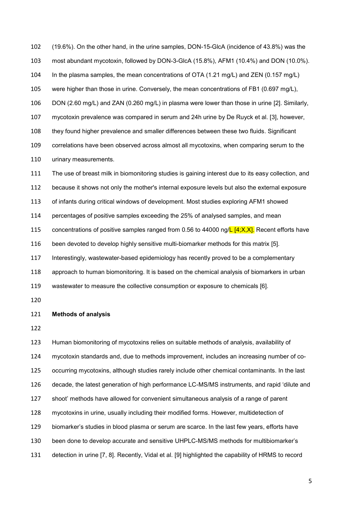(19.6%). On the other hand, in the urine samples, DON-15-GlcA (incidence of 43.8%) was the most abundant mycotoxin, followed by DON-3-GlcA (15.8%), AFM1 (10.4%) and DON (10.0%). In the plasma samples, the mean concentrations of OTA (1.21 mg/L) and ZEN (0.157 mg/L) were higher than those in urine. Conversely, the mean concentrations of FB1 (0.697 mg/L), DON (2.60 mg/L) and ZAN (0.260 mg/L) in plasma were lower than those in urine [2]. Similarly, mycotoxin prevalence was compared in serum and 24h urine by De Ruyck et al. [3], however, they found higher prevalence and smaller differences between these two fluids. Significant correlations have been observed across almost all mycotoxins, when comparing serum to the urinary measurements.

 The use of breast milk in biomonitoring studies is gaining interest due to its easy collection, and because it shows not only the mother's internal exposure levels but also the external exposure of infants during critical windows of development. Most studies exploring AFM1 showed percentages of positive samples exceeding the 25% of analysed samples, and mean 115 concentrations of positive samples ranged from 0.56 to 44000 ng/ $\mathsf{L}$  [4;X,X]. Recent efforts have been devoted to develop highly sensitive multi-biomarker methods for this matrix [5]. Interestingly, wastewater-based epidemiology has recently proved to be a complementary approach to human biomonitoring. It is based on the chemical analysis of biomarkers in urban

wastewater to measure the collective consumption or exposure to chemicals [6].

#### **Methods of analysis**

 Human biomonitoring of mycotoxins relies on suitable methods of analysis, availability of mycotoxin standards and, due to methods improvement, includes an increasing number of co- occurring mycotoxins, although studies rarely include other chemical contaminants. In the last decade, the latest generation of high performance LC-MS/MS instruments, and rapid 'dilute and shoot' methods have allowed for convenient simultaneous analysis of a range of parent mycotoxins in urine, usually including their modified forms. However, multidetection of biomarker's studies in blood plasma or serum are scarce. In the last few years, efforts have been done to develop accurate and sensitive UHPLC-MS/MS methods for multibiomarker's detection in urine [7, 8]. Recently, Vidal et al. [9] highlighted the capability of HRMS to record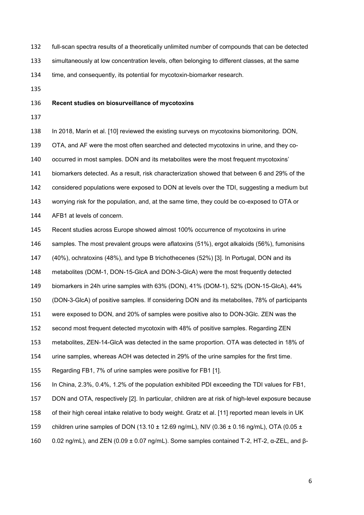- full-scan spectra results of a theoretically unlimited number of compounds that can be detected
- simultaneously at low concentration levels, often belonging to different classes, at the same

time, and consequently, its potential for mycotoxin-biomarker research.

# **Recent studies on biosurveillance of mycotoxins**

 In 2018, Marín et al. [10] reviewed the existing surveys on mycotoxins biomonitoring. DON, OTA, and AF were the most often searched and detected mycotoxins in urine, and they co- occurred in most samples. DON and its metabolites were the most frequent mycotoxins' biomarkers detected. As a result, risk characterization showed that between 6 and 29% of the considered populations were exposed to DON at levels over the TDI, suggesting a medium but worrying risk for the population, and, at the same time, they could be co-exposed to OTA or AFB1 at levels of concern.

Recent studies across Europe showed almost 100% occurrence of mycotoxins in urine

samples. The most prevalent groups were aflatoxins (51%), ergot alkaloids (56%), fumonisins

(40%), ochratoxins (48%), and type B trichothecenes (52%) [3]. In Portugal, DON and its

metabolites (DOM-1, DON-15-GlcA and DON-3-GlcA) were the most frequently detected

biomarkers in 24h urine samples with 63% (DON), 41% (DOM-1), 52% (DON-15-GlcA), 44%

(DON-3-GlcA) of positive samples. If considering DON and its metabolites, 78% of participants

were exposed to DON, and 20% of samples were positive also to DON-3Glc. ZEN was the

second most frequent detected mycotoxin with 48% of positive samples. Regarding ZEN

metabolites, ZEN-14-GlcA was detected in the same proportion. OTA was detected in 18% of

urine samples, whereas AOH was detected in 29% of the urine samples for the first time.

Regarding FB1, 7% of urine samples were positive for FB1 [1].

In China, 2.3%, 0.4%, 1.2% of the population exhibited PDI exceeding the TDI values for FB1,

DON and OTA, respectively [2]. In particular, children are at risk of high-level exposure because

of their high cereal intake relative to body weight. Gratz et al. [11] reported mean levels in UK

159 children urine samples of DON (13.10  $\pm$  12.69 ng/mL), NIV (0.36  $\pm$  0.16 ng/mL), OTA (0.05  $\pm$ 

0.02 ng/mL), and ZEN (0.09 ± 0.07 ng/mL). Some samples contained T-2, HT-2, α-ZEL, and β-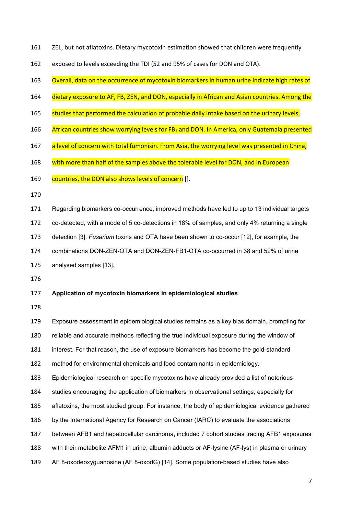- ZEL, but not aflatoxins. Dietary mycotoxin estimation showed that children were frequently
- exposed to levels exceeding the TDI (52 and 95% of cases for DON and OTA).
- Overall, data on the occurrence of mycotoxin biomarkers in human urine indicate high rates of
- 164 dietary exposure to AF, FB, ZEN, and DON, especially in African and Asian countries. Among the
- 165 studies that performed the calculation of probable daily intake based on the urinary levels,
- 166 African countries show worrying levels for FB<sub>1</sub> and DON. In America, only Guatemala presented
- 167 a level of concern with total fumonisin. From Asia, the worrying level was presented in China,
- 168 with more than half of the samples above the tolerable level for DON, and in European
- 169 countries, the DON also shows levels of concern [].
- 
- Regarding biomarkers co-occurrence, improved methods have led to up to 13 individual targets
- co-detected, with a mode of 5 co-detections in 18% of samples, and only 4% returning a single
- detection [3]. *Fusarium* toxins and OTA have been shown to co-occur [12], for example, the
- combinations DON-ZEN-OTA and DON-ZEN-FB1-OTA co-occurred in 38 and 52% of urine
- analysed samples [13].
- 

### **Application of mycotoxin biomarkers in epidemiological studies**

Exposure assessment in epidemiological studies remains as a key bias domain, prompting for

reliable and accurate methods reflecting the true individual exposure during the window of

- interest. For that reason, the use of exposure biomarkers has become the gold-standard
- method for environmental chemicals and food contaminants in epidemiology.

Epidemiological research on specific mycotoxins have already provided a list of notorious

- studies encouraging the application of biomarkers in observational settings, especially for
- aflatoxins, the most studied group. For instance, the body of epidemiological evidence gathered
- by the International Agency for Research on Cancer (IARC) to evaluate the associations
- between AFB1 and hepatocellular carcinoma, included 7 cohort studies tracing AFB1 exposures
- with their metabolite AFM1 in urine, albumin adducts or AF-lysine (AF-lys) in plasma or urinary
- AF 8-oxodeoxyguanosine (AF 8-oxodG) [14]. Some population-based studies have also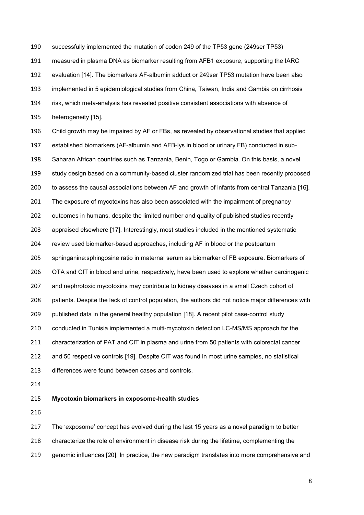successfully implemented the mutation of codon 249 of the TP53 gene (249ser TP53)

measured in plasma DNA as biomarker resulting from AFB1 exposure, supporting the IARC

evaluation [14]. The biomarkers AF-albumin adduct or 249ser TP53 mutation have been also

implemented in 5 epidemiological studies from China, Taiwan, India and Gambia on cirrhosis

- risk, which meta-analysis has revealed positive consistent associations with absence of
- heterogeneity [15].

 Child growth may be impaired by AF or FBs, as revealed by observational studies that applied established biomarkers (AF-albumin and AFB-lys in blood or urinary FB) conducted in sub- Saharan African countries such as Tanzania, Benin, Togo or Gambia. On this basis, a novel study design based on a community-based cluster randomized trial has been recently proposed to assess the causal associations between AF and growth of infants from central Tanzania [16]. The exposure of mycotoxins has also been associated with the impairment of pregnancy outcomes in humans, despite the limited number and quality of published studies recently appraised elsewhere [17]. Interestingly, most studies included in the mentioned systematic review used biomarker-based approaches, including AF in blood or the postpartum sphinganine:sphingosine ratio in maternal serum as biomarker of FB exposure. Biomarkers of OTA and CIT in blood and urine, respectively, have been used to explore whether carcinogenic 207 and nephrotoxic mycotoxins may contribute to kidney diseases in a small Czech cohort of patients. Despite the lack of control population, the authors did not notice major differences with published data in the general healthy population [18]. A recent pilot case-control study conducted in Tunisia implemented a multi-mycotoxin detection LC-MS/MS approach for the characterization of PAT and CIT in plasma and urine from 50 patients with colorectal cancer and 50 respective controls [19]. Despite CIT was found in most urine samples, no statistical differences were found between cases and controls.

# **Mycotoxin biomarkers in exposome-health studies**

The 'exposome' concept has evolved during the last 15 years as a novel paradigm to better

characterize the role of environment in disease risk during the lifetime, complementing the

genomic influences [20]. In practice, the new paradigm translates into more comprehensive and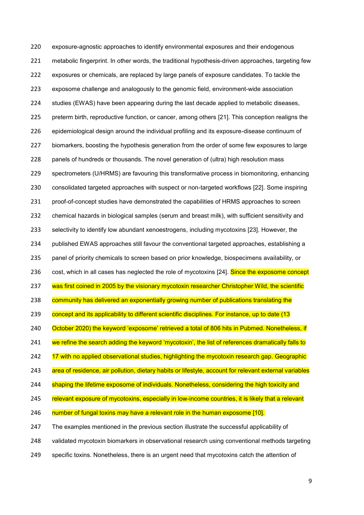exposure-agnostic approaches to identify environmental exposures and their endogenous metabolic fingerprint. In other words, the traditional hypothesis-driven approaches, targeting few exposures or chemicals, are replaced by large panels of exposure candidates. To tackle the exposome challenge and analogously to the genomic field, environment-wide association studies (EWAS) have been appearing during the last decade applied to metabolic diseases, preterm birth, reproductive function, or cancer, among others [21]. This conception realigns the epidemiological design around the individual profiling and its exposure-disease continuum of biomarkers, boosting the hypothesis generation from the order of some few exposures to large panels of hundreds or thousands. The novel generation of (ultra) high resolution mass spectrometers (U/HRMS) are favouring this transformative process in biomonitoring, enhancing consolidated targeted approaches with suspect or non-targeted workflows [22]. Some inspiring proof-of-concept studies have demonstrated the capabilities of HRMS approaches to screen chemical hazards in biological samples (serum and breast milk), with sufficient sensitivity and selectivity to identify low abundant xenoestrogens, including mycotoxins [23]. However, the published EWAS approaches still favour the conventional targeted approaches, establishing a panel of priority chemicals to screen based on prior knowledge, biospecimens availability, or 236 cost, which in all cases has neglected the role of mycotoxins [24]. Since the exposome concept 237 was first coined in 2005 by the visionary mycotoxin researcher Christopher Wild, the scientific 238 community has delivered an exponentially growing number of publications translating the 239 concept and its applicability to different scientific disciplines. For instance, up to date (13 240 October 2020) the keyword 'exposome' retrieved a total of 806 hits in Pubmed. Nonetheless, if 241 we refine the search adding the keyword 'mycotoxin', the list of references dramatically falls to 242 17 with no applied observational studies, highlighting the mycotoxin research gap. Geographic 243 area of residence, air pollution, dietary habits or lifestyle, account for relevant external variables 244 shaping the lifetime exposome of individuals. Nonetheless, considering the high toxicity and 245 relevant exposure of mycotoxins, especially in low-income countries, it is likely that a relevant 246 number of fungal toxins may have a relevant role in the human exposome [10]. The examples mentioned in the previous section illustrate the successful applicability of validated mycotoxin biomarkers in observational research using conventional methods targeting

specific toxins. Nonetheless, there is an urgent need that mycotoxins catch the attention of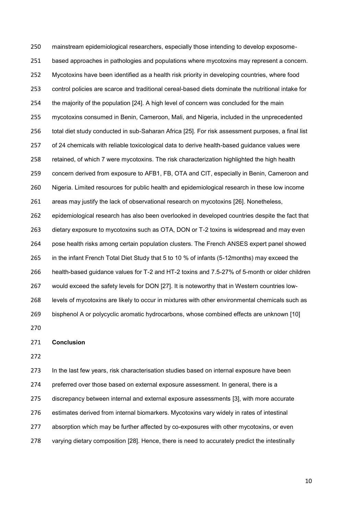mainstream epidemiological researchers, especially those intending to develop exposome- based approaches in pathologies and populations where mycotoxins may represent a concern. Mycotoxins have been identified as a health risk priority in developing countries, where food control policies are scarce and traditional cereal-based diets dominate the nutritional intake for the majority of the population [24]. A high level of concern was concluded for the main mycotoxins consumed in Benin, Cameroon, Mali, and Nigeria, included in the unprecedented total diet study conducted in sub-Saharan Africa [25]. For risk assessment purposes, a final list of 24 chemicals with reliable toxicological data to derive health-based guidance values were retained, of which 7 were mycotoxins. The risk characterization highlighted the high health concern derived from exposure to AFB1, FB, OTA and CIT, especially in Benin, Cameroon and Nigeria. Limited resources for public health and epidemiological research in these low income areas may justify the lack of observational research on mycotoxins [26]. Nonetheless, epidemiological research has also been overlooked in developed countries despite the fact that dietary exposure to mycotoxins such as OTA, DON or T-2 toxins is widespread and may even pose health risks among certain population clusters. The French ANSES expert panel showed in the infant French Total Diet Study that 5 to 10 % of infants (5-12months) may exceed the health-based guidance values for T-2 and HT-2 toxins and 7.5-27% of 5-month or older children would exceed the safety levels for DON [27]. It is noteworthy that in Western countries low- levels of mycotoxins are likely to occur in mixtures with other environmental chemicals such as bisphenol A or polycyclic aromatic hydrocarbons, whose combined effects are unknown [10] 

### **Conclusion**

 In the last few years, risk characterisation studies based on internal exposure have been preferred over those based on external exposure assessment. In general, there is a discrepancy between internal and external exposure assessments [3], with more accurate estimates derived from internal biomarkers. Mycotoxins vary widely in rates of intestinal absorption which may be further affected by co-exposures with other mycotoxins, or even varying dietary composition [28]. Hence, there is need to accurately predict the intestinally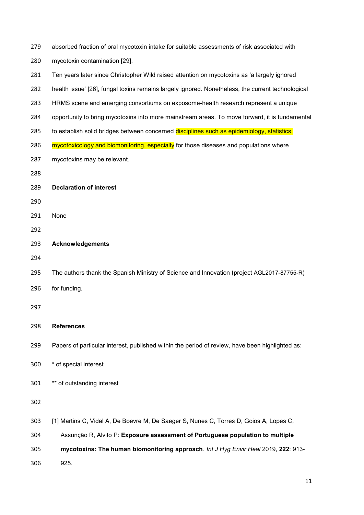| 279 | absorbed fraction of oral mycotoxin intake for suitable assessments of risk associated with       |
|-----|---------------------------------------------------------------------------------------------------|
| 280 | mycotoxin contamination [29].                                                                     |
| 281 | Ten years later since Christopher Wild raised attention on mycotoxins as 'a largely ignored       |
| 282 | health issue' [26], fungal toxins remains largely ignored. Nonetheless, the current technological |
| 283 | HRMS scene and emerging consortiums on exposome-health research represent a unique                |
| 284 | opportunity to bring mycotoxins into more mainstream areas. To move forward, it is fundamental    |
| 285 | to establish solid bridges between concerned disciplines such as epidemiology, statistics,        |
| 286 | mycotoxicology and biomonitoring, especially for those diseases and populations where             |
| 287 | mycotoxins may be relevant.                                                                       |
| 288 |                                                                                                   |
| 289 | <b>Declaration of interest</b>                                                                    |
| 290 |                                                                                                   |
| 291 | None                                                                                              |
| 292 |                                                                                                   |
| 293 | <b>Acknowledgements</b>                                                                           |
| 294 |                                                                                                   |
| 295 | The authors thank the Spanish Ministry of Science and Innovation (project AGL2017-87755-R)        |
| 296 | for funding.                                                                                      |
| 297 |                                                                                                   |
|     |                                                                                                   |
| 298 | <b>References</b>                                                                                 |
| 299 | Papers of particular interest, published within the period of review, have been highlighted as:   |
| 300 | * of special interest                                                                             |
| 301 | ** of outstanding interest                                                                        |
| 302 |                                                                                                   |
| 303 | [1] Martins C, Vidal A, De Boevre M, De Saeger S, Nunes C, Torres D, Goios A, Lopes C,            |
| 304 | Assunção R, Alvito P: Exposure assessment of Portuguese population to multiple                    |
| 305 | mycotoxins: The human biomonitoring approach. Int J Hyg Envir Heal 2019, 222: 913-                |
| 306 | 925.                                                                                              |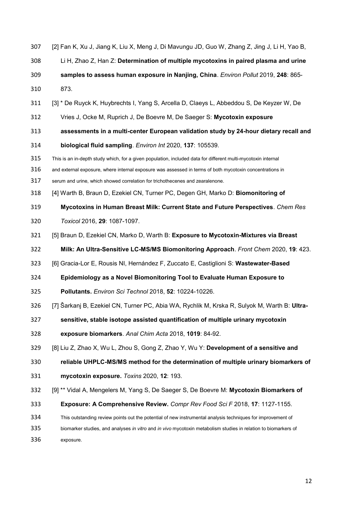- [2] Fan K, Xu J, Jiang K, Liu X, Meng J, Di Mavungu JD, Guo W, Zhang Z, Jing J, Li H, Yao B,
- Li H, Zhao Z, Han Z: **Determination of multiple mycotoxins in paired plasma and urine**
- **samples to assess human exposure in Nanjing, China**. *Environ Pollut* 2019, **248**: 865-
- 873.
- [3] \* De Ruyck K, Huybrechts I, Yang S, Arcella D, Claeys L, Abbeddou S, De Keyzer W, De
- Vries J, Ocke M, Ruprich J, De Boevre M, De Saeger S: **Mycotoxin exposure**
- **assessments in a multi-center European validation study by 24-hour dietary recall and**
- **biological fluid sampling**. *Environ Int* 2020, **137**: 105539.
- This is an in-depth study which, for a given population, included data for different multi-mycotoxin internal
- and external exposure, where internal exposure was assessed in terms of both mycotoxin concentrations in
- serum and urine, which showed correlation for trichothecenes and zearalenone.
- [4] Warth B, Braun D, Ezekiel CN, Turner PC, Degen GH, Marko D: **Biomonitoring of**
- **Mycotoxins in Human Breast Milk: Current State and Future Perspectives**. *Chem Res*
- *Toxicol* 2016, **29**: 1087-1097.
- [5] Braun D, Ezekiel CN, Marko D, Warth B: **Exposure to Mycotoxin-Mixtures via Breast**
- **Milk: An Ultra-Sensitive LC-MS/MS Biomonitoring Approach**. *Front Chem* 2020, **19**: 423.
- [6] Gracia-Lor E, Rousis NI, Hernández F, Zuccato E, Castiglioni S: **Wastewater-Based**
- **Epidemiology as a Novel Biomonitoring Tool to Evaluate Human Exposure to**
- **Pollutants.** *Environ Sci Technol* 2018, **52**: 10224-10226.
- [7] Šarkanj B, Ezekiel CN, Turner PC, Abia WA, Rychlik M, Krska R, Sulyok M, Warth B: **Ultra-**
- **sensitive, stable isotope assisted quantification of multiple urinary mycotoxin**
- **exposure biomarkers**. *Anal Chim Acta* 2018, **1019**: 84-92.
- [8] Liu Z, Zhao X, Wu L, Zhou S, Gong Z, Zhao Y, Wu Y: **Development of a sensitive and**
- **reliable UHPLC-MS/MS method for the determination of multiple urinary biomarkers of**
- **mycotoxin exposure.** *Toxins* 2020, **12**: 193.
- [9] \*\* Vidal A, Mengelers M, Yang S, De Saeger S, De Boevre M: **Mycotoxin Biomarkers of**
- **Exposure: A Comprehensive Review.** *Compr Rev Food Sci F* 2018, **17**: 1127-1155.
- This outstanding review points out the potential of new instrumental analysis techniques for improvement of
- biomarker studies, and analyses *in vitro* and *in vivo* mycotoxin metabolism studies in relation to biomarkers of
- exposure.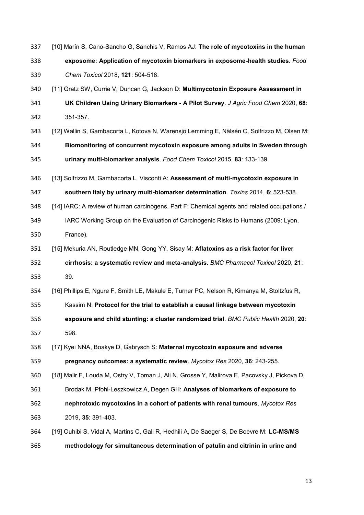- [10] Marín S, Cano-Sancho G, Sanchis V, Ramos AJ: **The role of mycotoxins in the human**
- **exposome: Application of mycotoxin biomarkers in exposome-health studies.** *Food Chem Toxicol* 2018, **121**: 504-518.
- [11] Gratz SW, Currie V, Duncan G, Jackson D: **Multimycotoxin Exposure Assessment in UK Children Using Urinary Biomarkers - A Pilot Survey**. *J Agric Food Chem* 2020, **68**: 351-357.
- [12] Wallin S, Gambacorta L, Kotova N, Warensjö Lemming E, Nälsén C, Solfrizzo M, Olsen M: **Biomonitoring of concurrent mycotoxin exposure among adults in Sweden through urinary multi-biomarker analysis**. *Food Chem Toxicol* 2015, **83**: 133-139
- [13] Solfrizzo M, Gambacorta L, Visconti A: **Assessment of multi-mycotoxin exposure in southern Italy by urinary multi-biomarker determination**. *Toxins* 2014, **6**: 523-538.
- [14] IARC: A review of human carcinogens. Part F: Chemical agents and related occupations /
- IARC Working Group on the Evaluation of Carcinogenic Risks to Humans (2009: Lyon, France).
- [15] Mekuria AN, Routledge MN, Gong YY, Sisay M: **Aflatoxins as a risk factor for liver cirrhosis: a systematic review and meta-analysis.** *BMC Pharmacol Toxicol* 2020, **21**:
- 39.

[16] Phillips E, Ngure F, Smith LE, Makule E, Turner PC, Nelson R, Kimanya M, Stoltzfus R,

Kassim N: **Protocol for the trial to establish a causal linkage between mycotoxin** 

- **exposure and child stunting: a cluster randomized trial**. *BMC Public Health* 2020, **20**: 598.
- [17] Kyei NNA, Boakye D, Gabrysch S: **Maternal mycotoxin exposure and adverse**

**pregnancy outcomes: a systematic review**. *Mycotox Res* 2020, **36**: 243-255.

[18] Malir F, Louda M, Ostry V, Toman J, Ali N, Grosse Y, Malirova E, Pacovsky J, Pickova D,

- Brodak M, Pfohl-Leszkowicz A, Degen GH: **Analyses of biomarkers of exposure to nephrotoxic mycotoxins in a cohort of patients with renal tumours**. *Mycotox Res*
- 2019, **35**: 391-403.
- [19] Ouhibi S, Vidal A, Martins C, Gali R, Hedhili A, De Saeger S, De Boevre M: **LC-MS/MS methodology for simultaneous determination of patulin and citrinin in urine and**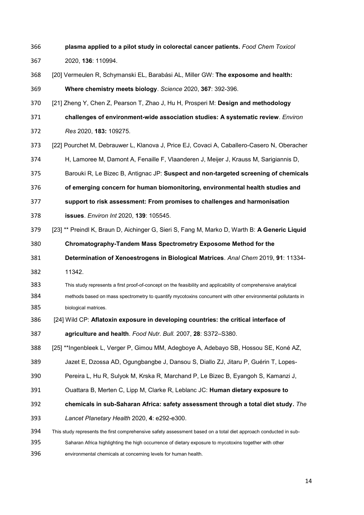**plasma applied to a pilot study in colorectal cancer patients.** *Food Chem Toxicol* 2020, **136**: 110994. [20] Vermeulen R, Schymanski EL, Barabási AL, Miller GW: **The exposome and health: Where chemistry meets biology**. *Science* 2020, **367**: 392-396. [21] Zheng Y, Chen Z, Pearson T, Zhao J, Hu H, Prosperi M: **Design and methodology challenges of environment-wide association studies: A systematic review**. *Environ Res* 2020, **183:** 109275. [22] Pourchet M, Debrauwer L, Klanova J, Price EJ, Covaci A, Caballero-Casero N, Oberacher H, Lamoree M, Damont A, Fenaille F, Vlaanderen J, Meijer J, Krauss M, Sarigiannis D, Barouki R, Le Bizec B, Antignac JP: **Suspect and non-targeted screening of chemicals of emerging concern for human biomonitoring, environmental health studies and support to risk assessment: From promises to challenges and harmonisation issues**. *Environ Int* 2020, **139**: 105545. [23] \*\* Preindl K, Braun D, Aichinger G, Sieri S, Fang M, Marko D, Warth B: **A Generic Liquid Chromatography-Tandem Mass Spectrometry Exposome Method for the Determination of Xenoestrogens in Biological Matrices**. *Anal Chem* 2019, **91**: 11334- 11342. This study represents a first proof-of-concept on the feasibility and applicability of comprehensive analytical methods based on mass spectrometry to quantify mycotoxins concurrent with other environmental pollutants in biological matrices. [24] Wild CP: **Aflatoxin exposure in developing countries: the critical interface of agriculture and health**. *Food Nutr. Bull.* 2007, **28**: S372–S380. [25] \*\*Ingenbleek L, Verger P, Gimou MM, Adegboye A, Adebayo SB, Hossou SE, Koné AZ, Jazet E, Dzossa AD, Ogungbangbe J, Dansou S, Diallo ZJ, Jitaru P, Guérin T, Lopes- Pereira L, Hu R, Sulyok M, Krska R, Marchand P, Le Bizec B, Eyangoh S, Kamanzi J, Ouattara B, Merten C, Lipp M, Clarke R, Leblanc JC: **Human dietary exposure to chemicals in sub-Saharan Africa: safety assessment through a total diet study.** *The Lancet Planetary Health* 2020, **4**: e292-e300. This study represents the first comprehensive safety assessment based on a total diet approach conducted in sub- Saharan Africa highlighting the high occurrence of dietary exposure to mycotoxins together with other environmental chemicals at concerning levels for human health.